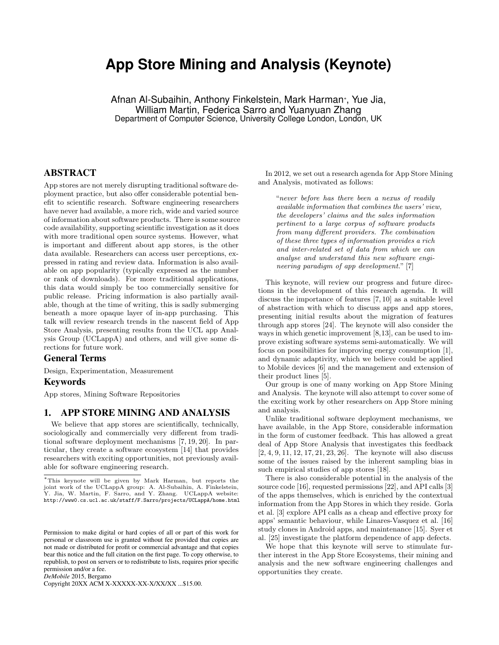# **App Store Mining and Analysis (Keynote)**

Afnan Al-Subaihin, Anthony Finkelstein, Mark Harman*<sup>∗</sup>* , Yue Jia, William Martin, Federica Sarro and Yuanyuan Zhang Department of Computer Science, University College London, London, UK

## ABSTRACT

App stores are not merely disrupting traditional software deployment practice, but also offer considerable potential benefit to scientific research. Software engineering researchers have never had available, a more rich, wide and varied source of information about software products. There is some source code availability, supporting scientific investigation as it does with more traditional open source systems. However, what is important and different about app stores, is the other data available. Researchers can access user perceptions, expressed in rating and review data. Information is also available on app popularity (typically expressed as the number or rank of downloads). For more traditional applications, this data would simply be too commercially sensitive for public release. Pricing information is also partially available, though at the time of writing, this is sadly submerging beneath a more opaque layer of in-app purchasing. This talk will review research trends in the nascent field of App Store Analysis, presenting results from the UCL app Analysis Group (UCLappA) and others, and will give some directions for future work.

### General Terms

Design, Experimentation, Measurement

#### Keywords

App stores, Mining Software Repositories

#### 1. APP STORE MINING AND ANALYSIS

We believe that app stores are scientifically, technically, sociologically and commercially very different from traditional software deployment mechanisms [7, 19, 20]. In particular, they create a software ecosystem [14] that provides researchers with exciting opportunities, not previously available for software engineering research.

*DeMobile* 2015, Bergamo

Copyright 20XX ACM X-XXXXX-XX-X/XX/XX ...\$15.00.

In 2012, we set out a research agenda for App Store Mining and Analysis, motivated as follows:

"*never before has there been a nexus of readily available information that combines the users' view, the developers' claims and the sales information pertinent to a large corpus of software products from many different providers. The combination of these three types of information provides a rich and inter-related set of data from which we can analyse and understand this new software engineering paradigm of app development.*" [7]

This keynote, will review our progress and future directions in the development of this research agenda. It will discuss the importance of features [7, 10] as a suitable level of abstraction with which to discuss apps and app stores, presenting initial results about the migration of features through app stores [24]. The keynote will also consider the ways in which genetic improvement [8,13], can be used to improve existing software systems semi-automatically. We will focus on possibilities for improving energy consumption [1], and dynamic adaptivity, which we believe could be applied to Mobile devices [6] and the management and extension of their product lines [5].

Our group is one of many working on App Store Mining and Analysis. The keynote will also attempt to cover some of the exciting work by other researchers on App Store mining and analysis.

Unlike traditional software deployment mechanisms, we have available, in the App Store, considerable information in the form of customer feedback. This has allowed a great deal of App Store Analysis that investigates this feedback [2, 4, 9, 11, 12, 17, 21, 23, 26]. The keynote will also discuss some of the issues raised by the inherent sampling bias in such empirical studies of app stores [18].

There is also considerable potential in the analysis of the source code [16], requested permissions [22], and API calls [3] of the apps themselves, which is enriched by the contextual information from the App Stores in which they reside. Gorla et al. [3] explore API calls as a cheap and effective proxy for apps' semantic behaviour, while Linares-Vasquez et al. [16] study clones in Android apps, and maintenance [15]. Syer et al. [25] investigate the platform dependence of app defects.

We hope that this keynote will serve to stimulate further interest in the App Store Ecosystems, their mining and analysis and the new software engineering challenges and opportunities they create.

*<sup>∗</sup>*This keynote will be given by Mark Harman, but reports the joint work of the UCLappA group: A. Al-Subaihin, A. Finkelstein, Y. Jia, W. Martin, F. Sarro, and Y. Zhang. UCLappA website: http://www0.cs.ucl.ac.uk/staff/F.Sarro/projects/UCLappA/home.html

Permission to make digital or hard copies of all or part of this work for personal or classroom use is granted without fee provided that copies are not made or distributed for profit or commercial advantage and that copies bear this notice and the full citation on the first page. To copy otherwise, to republish, to post on servers or to redistribute to lists, requires prior specific permission and/or a fee.